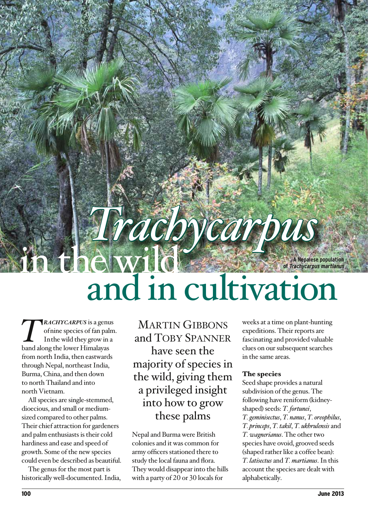**A Nepalese population of Trachycarpus martianus**

# *Trachycarpus* and in cultivation

*T rachycarpus* is a genus of nine species of fan palm. In the wild they grow in a band along the lower Himalayas from north India, then eastwards through Nepal, northeast India, Burma, China, and then down to north Thailand and into north Vietnam.

All species are single-stemmed, dioecious, and small or mediumsized compared to other palms. Their chief attraction for gardeners and palm enthusiasts is their cold hardiness and ease and speed of growth. Some of the new species could even be described as beautiful.

The genus for the most part is historically well-documented. India,

MARTIN GIBBONS and Toby Spanner have seen the majority of species in the wild, giving them a privileged insight into how to grow these palms

Nepal and Burma were British colonies and it was common for army officers stationed there to study the local fauna and flora. They would disappear into the hills with a party of 20 or 30 locals for

weeks at a time on plant-hunting expeditions. Their reports are fascinating and provided valuable clues on our subsequent searches in the same areas.

# The species

Seed shape provides a natural subdivision of the genus. The following have reniform (kidneyshaped) seeds: *T. fortunei*, *T. geminisectus*, *T. nanus*, *T. oreophilus*, *T. princeps*, *T. takil*, *T. ukhrulensis* and *T. wagnerianus*. The other two species have ovoid, grooved seeds (shaped rather like a coffee bean): *T. latisectus* and *T. martianus*. In this account the species are dealt with alphabetically.

**• 2000年10月**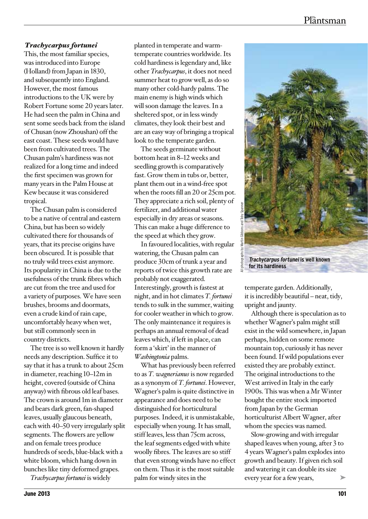## *Trachycarpus fortunei*

This, the most familiar species, was introduced into Europe (Holland) from Japan in 1830, and subsequently into England. However, the most famous introductions to the UK were by Robert Fortune some 20 years later. He had seen the palm in China and sent some seeds back from the island of Chusan (now Zhoushan) off the east coast. These seeds would have been from cultivated trees. The Chusan palm's hardiness was not realized for a long time and indeed the first specimen was grown for many years in the Palm House at Kew because it was considered tropical.

The Chusan palm is considered to be a native of central and eastern China, but has been so widely cultivated there for thousands of years, that its precise origins have been obscured. It is possible that no truly wild trees exist anymore. Its popularity in China is due to the usefulness of the trunk fibres which are cut from the tree and used for a variety of purposes. We have seen brushes, brooms and doormats, even a crude kind of rain cape, uncomfortably heavy when wet, but still commonly seen in country districts.

The tree is so well known it hardly needs any description. Suffice it to say that it has a trunk to about 25cm in diameter, reaching 10–12m in height, covered (outside of China anyway) with fibrous old leaf bases. The crown is around 1m in diameter and bears dark green, fan-shaped leaves, usually glaucous beneath, each with 40–50 very irregularly split segments. The flowers are yellow and on female trees produce hundreds of seeds, blue-black with a white bloom, which hang down in bunches like tiny deformed grapes.

*Trachycarpus fortunei* is widely

planted in temperate and warmtemperate countries worldwide. Its cold hardiness is legendary and, like other *Trachycarpus*, it does not need summer heat to grow well, as do so many other cold-hardy palms. The main enemy is high winds which will soon damage the leaves. In a sheltered spot, or in less windy climates, they look their best and are an easy way of bringing a tropical look to the temperate garden.

The seeds germinate without bottom heat in 8–12 weeks and seedling growth is comparatively fast. Grow them in tubs or, better, plant them out in a wind-free spot when the roots fill an 20 or 25cm pot. They appreciate a rich soil, plenty of fertilizer, and additional water especially in dry areas or seasons. This can make a huge difference to the speed at which they grow.

In favoured localities, with regular watering, the Chusan palm can produce 30cm of trunk a year and reports of twice this growth rate are probably not exaggerated. Interestingly, growth is fastest at night, and in hot climates *T. fortunei*  tends to sulk in the summer, waiting for cooler weather in which to grow. The only maintenance it requires is perhaps an annual removal of dead leaves which, if left in place, can form a 'skirt' in the manner of *Washingtonia* palms.

What has previously been referred to as *T. wagnerianus* is now regarded as a synonym of *T. fortunei*. However, Wagner's palm is quite distinctive in appearance and does need to be distinguished for horticultural purposes. Indeed, it is unmistakable, especially when young. It has small, stiff leaves, less than 75cm across, the leaf segments edged with white woolly fibres. The leaves are so stiff that even strong winds have no effect on them. Thus it is the most suitable palm for windy sites in the



temperate garden. Additionally, it is incredibly beautiful – neat, tidy, upright and jaunty.

Although there is speculation as to whether Wagner's palm might still exist in the wild somewhere, in Japan perhaps, hidden on some remote mountain top, curiously it has never been found. If wild populations ever existed they are probably extinct. The original introductions to the West arrived in Italy in the early 1900s. This was when a Mr Winter bought the entire stock imported from Japan by the German horticulturist Albert Wagner, after whom the species was named.

➤ Slow-growing and with irregular shaped leaves when young, after 3 to 4 years Wagner's palm explodes into growth and beauty. If given rich soil and watering it can double its size every year for a few years,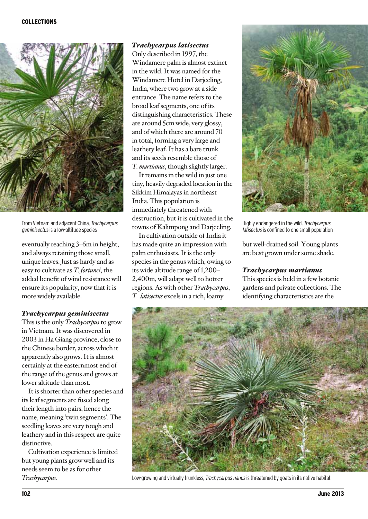

From Vietnam and adjacent China, Trachycarpus geminisectus is a low-altitude species

eventually reaching 3–6m in height, and always retaining those small, unique leaves. Just as hardy and as easy to cultivate as *T. fortunei*, the added benefit of wind resistance will ensure its popularity, now that it is more widely available.

#### *Trachycarpus geminisectus*

This is the only *Trachycarpus* to grow in Vietnam. It was discovered in 2003 in Ha Giang province, close to the Chinese border, across which it apparently also grows. It is almost certainly at the easternmost end of the range of the genus and grows at lower altitude than most.

It is shorter than other species and its leaf segments are fused along their length into pairs, hence the name, meaning 'twin segments'. The seedling leaves are very tough and leathery and in this respect are quite distinctive.

Cultivation experience is limited but young plants grow well and its needs seem to be as for other *Trachycarpus*.

# *Trachycarpus latisectus*

Only described in 1997, the Windamere palm is almost extinct in the wild. It was named for the Windamere Hotel in Darjeeling, India, where two grow at a side entrance. The name refers to the broad leaf segments, one of its distinguishing characteristics. These are around 5cm wide, very glossy, and of which there are around 70 in total, forming a very large and leathery leaf. It has a bare trunk and its seeds resemble those of *T. martianus*, though slightly larger.

It remains in the wild in just one tiny, heavily degraded location in the Sikkim Himalayas in northeast India. This population is immediately threatened with destruction, but it is cultivated in the towns of Kalimpong and Darjeeling.

In cultivation outside of India it has made quite an impression with palm enthusiasts. It is the only species in the genus which, owing to its wide altitude range of 1,200– 2,400m, will adapt well to hotter regions. As with other *Trachycarpus*, *T. latisectus* excels in a rich, loamy



Highly endangered in the wild, Trachycarpus latisectus is confined to one small population

but well-drained soil. Young plants are best grown under some shade.

#### *Trachycarpus martianus*

This species is held in a few botanic gardens and private collections. The identifying characteristics are the



Low-growing and virtually trunkless, Trachycarpus nanus is threatened by goats in its native habitat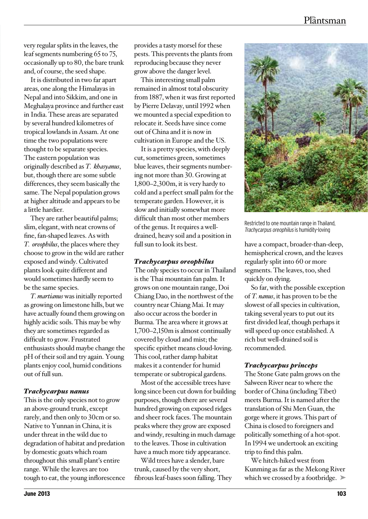very regular splits in the leaves, the leaf segments numbering 65 to 75, occasionally up to 80, the bare trunk and, of course, the seed shape.

It is distributed in two far apart areas, one along the Himalayas in Nepal and into Sikkim, and one in Meghalaya province and further east in India. These areas are separated by several hundred kilometres of tropical lowlands in Assam. At one time the two populations were thought to be separate species. The eastern population was originally described as *T. khasyanus*, but, though there are some subtle differences, they seem basically the same. The Nepal population grows at higher altitude and appears to be a little hardier.

They are rather beautiful palms; slim, elegant, with neat crowns of fine, fan-shaped leaves. As with *T. oreophilus*, the places where they choose to grow in the wild are rather exposed and windy. Cultivated plants look quite different and would sometimes hardly seem to be the same species.

*T. martianus* was initially reported as growing on limestone hills, but we have actually found them growing on highly acidic soils. This may be why they are sometimes regarded as difficult to grow. Frustrated enthusiasts should maybe change the pH of their soil and try again. Young plants enjoy cool, humid conditions out of full sun.

### *Trachycarpus nanus*

This is the only species not to grow an above-ground trunk, except rarely, and then only to 30cm or so. Native to Yunnan in China, it is under threat in the wild due to degradation of habitat and predation by domestic goats which roam throughout this small plant's entire range. While the leaves are too tough to eat, the young inflorescence provides a tasty morsel for these pests. This prevents the plants from reproducing because they never grow above the danger level.

This interesting small palm remained in almost total obscurity from 1887, when it was first reported by Pierre Delavay, until 1992 when we mounted a special expedition to relocate it. Seeds have since come out of China and it is now in cultivation in Europe and the US.

It is a pretty species, with deeply cut, sometimes green, sometimes blue leaves, their segments numbering not more than 30. Growing at 1,800–2,300m, it is very hardy to cold and a perfect small palm for the temperate garden. However, it is slow and initially somewhat more difficult than most other members of the genus. It requires a welldrained, heavy soil and a position in full sun to look its best.

### *Trachycarpus oreophilus*

The only species to occur in Thailand is the Thai mountain fan palm. It grows on one mountain range, Doi Chiang Dao, in the northwest of the country near Chiang Mai. It may also occur across the border in Burma. The area where it grows at 1,700–2,150m is almost continually covered by cloud and mist; the specific epithet means cloud-loving. This cool, rather damp habitat makes it a contender for humid temperate or subtropical gardens.

Most of the accessible trees have long since been cut down for building purposes, though there are several hundred growing on exposed ridges and sheer rock faces. The mountain peaks where they grow are exposed and windy, resulting in much damage to the leaves. Those in cultivation have a much more tidy appearance.

Wild trees have a slender, bare trunk, caused by the very short, fibrous leaf-bases soon falling. They



Restricted to one mountain range in Thailand, Trachycarpus oreophilus is humidity-loving

have a compact, broader-than-deep, hemispherical crown, and the leaves regularly split into 60 or more segments. The leaves, too, shed quickly on dying.

So far, with the possible exception of *T. nanus*, it has proven to be the slowest of all species in cultivation, taking several years to put out its first divided leaf, though perhaps it will speed up once established. A rich but well-drained soil is recommended.

# *Trachycarpus princeps*

The Stone Gate palm grows on the Salween River near to where the border of China (including Tibet) meets Burma. It is named after the translation of Shi Men Guan, the gorge where it grows. This part of China is closed to foreigners and politically something of a hot-spot. In 1994 we undertook an exciting trip to find this palm.

which we crossed by a footbridge. We hitch-hiked west from Kunming as far as the Mekong River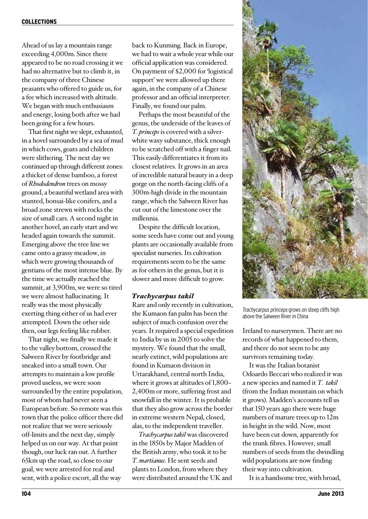Ahead of us lay a mountain range exceeding 4,000m. Since there appeared to be no road crossing it we had no alternative but to climb it, in the company of three Chinese peasants who offered to guide us, for a fee which increased with altitude. We began with much enthusiasm and energy, losing both after we had been going for a few hours.

That first night we slept, exhausted, in a hovel surrounded by a sea of mud in which cows, goats and children were slithering. The next day we continued up through different zones: a thicket of dense bamboo, a forest of *Rhododendron* trees on mossy ground, a beautiful wetland area with stunted, bonsai-like conifers, and a broad zone strewn with rocks the size of small cars. A second night in another hovel, an early start and we headed again towards the summit. Emerging above the tree line we came onto a grassy meadow, in which were growing thousands of gentians of the most intense blue. By the time we actually reached the summit, at 3,900m, we were so tired we were almost hallucinating. It really was the most physically exerting thing either of us had ever attempted. Down the other side then, our legs feeling like rubber.

That night, we finally we made it to the valley bottom, crossed the Salween River by footbridge and sneaked into a small town. Our attempts to maintain a low profile proved useless, we were soon surrounded by the entire population, most of whom had never seen a European before. So remote was this town that the police officer there did not realize that we were seriously off-limits and the next day, simply helped us on our way. At that point though, our luck ran out. A further 65km up the road, so close to our goal, we were arrested for real and sent, with a police escort, all the way

back to Kunming. Back in Europe, we had to wait a whole year while our official application was considered. On payment of \$2,000 for 'logistical support' we were allowed up there again, in the company of a Chinese professor and an official interpreter. Finally, we found our palm.

Perhaps the most beautiful of the genus, the underside of the leaves of *T. princeps* is covered with a silverwhite waxy substance, thick enough to be scratched off with a finger nail. This easily differentiates it from its closest relatives. It grows in an area of incredible natural beauty in a deep gorge on the north-facing cliffs of a 300m-high divide in the mountain range, which the Salween River has cut out of the limestone over the millennia.

Despite the difficult location, some seeds have come out and young plants are occasionally available from specialist nurseries. Its cultivation requirements seem to be the same as for others in the genus, but it is slower and more difficult to grow.

#### *Trachycarpus takil*

Rare and only recently in cultivation, the Kumaon fan palm has been the subject of much confusion over the years. It required a special expedition to India by us in 2005 to solve the mystery. We found that the small, nearly extinct, wild populations are found in Kumaon division in Uttarakhand, central north India, where it grows at altitudes of 1,800– 2,400m or more, suffering frost and snowfall in the winter. It is probable that they also grow across the border in extreme western Nepal, closed, alas, to the independent traveller.

*Trachycarpus takil* was discovered in the 1850s by Major Madden of the British army, who took it to be *T. martianus*. He sent seeds and plants to London, from where they were distributed around the UK and



Trachycarpus princeps grows on steep cliffs high above the Salween River in China

Ireland to nurserymen. There are no records of what happened to them, and there do not seem to be any survivors remaining today.

It was the Italian botanist Odoardo Beccari who realized it was a new species and named it *T. takil* (from the Indian mountain on which it grows). Madden's accounts tell us that 150 years ago there were huge numbers of mature trees up to 12m in height in the wild. Now, most have been cut down, apparently for the trunk fibres. However, small numbers of seeds from the dwindling wild populations are now finding their way into cultivation.

It is a handsome tree, with broad,